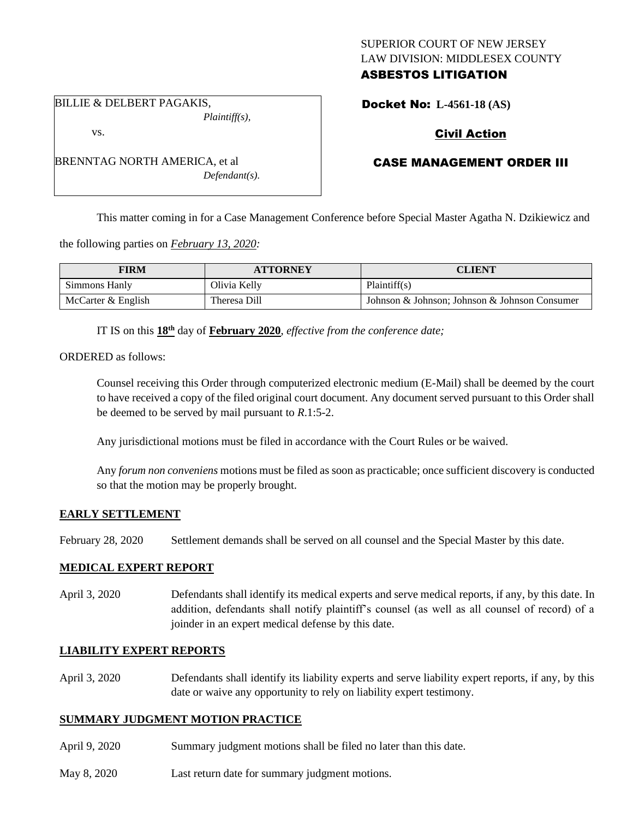## SUPERIOR COURT OF NEW JERSEY LAW DIVISION: MIDDLESEX COUNTY ASBESTOS LITIGATION

BILLIE & DELBERT PAGAKIS, *Plaintiff(s),*

vs.

BRENNTAG NORTH AMERICA, et al *Defendant(s).*

# Docket No: **L-4561-18 (AS)**

# Civil Action

## CASE MANAGEMENT ORDER III

This matter coming in for a Case Management Conference before Special Master Agatha N. Dzikiewicz and

the following parties on *February 13, 2020:*

| <b>FIRM</b>        | <b>ATTORNEY</b> | CLIENT                                        |
|--------------------|-----------------|-----------------------------------------------|
| Simmons Hanly      | Olivia Kelly    | Plaintiff(s)                                  |
| McCarter & English | Theresa Dill    | Johnson & Johnson: Johnson & Johnson Consumer |

IT IS on this **18th** day of **February 2020**, *effective from the conference date;*

ORDERED as follows:

Counsel receiving this Order through computerized electronic medium (E-Mail) shall be deemed by the court to have received a copy of the filed original court document. Any document served pursuant to this Order shall be deemed to be served by mail pursuant to *R*.1:5-2.

Any jurisdictional motions must be filed in accordance with the Court Rules or be waived.

Any *forum non conveniens* motions must be filed as soon as practicable; once sufficient discovery is conducted so that the motion may be properly brought.

#### **EARLY SETTLEMENT**

February 28, 2020 Settlement demands shall be served on all counsel and the Special Master by this date.

#### **MEDICAL EXPERT REPORT**

April 3, 2020 Defendants shall identify its medical experts and serve medical reports, if any, by this date. In addition, defendants shall notify plaintiff's counsel (as well as all counsel of record) of a joinder in an expert medical defense by this date.

#### **LIABILITY EXPERT REPORTS**

April 3, 2020 Defendants shall identify its liability experts and serve liability expert reports, if any, by this date or waive any opportunity to rely on liability expert testimony.

#### **SUMMARY JUDGMENT MOTION PRACTICE**

- April 9, 2020 Summary judgment motions shall be filed no later than this date.
- May 8, 2020 Last return date for summary judgment motions.